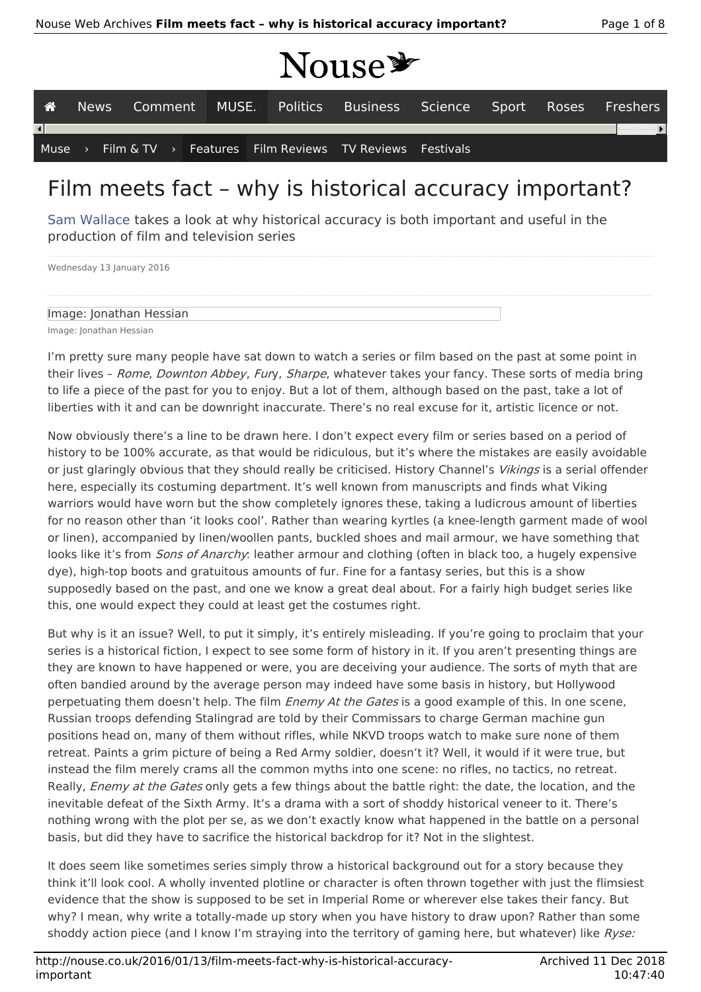# NOUSE

| A    | News <b>I</b> |  |  |  |  |  | Comment MUSE. Politics Business Science Sport Roses Freshers |  |  |  |  |  |
|------|---------------|--|--|--|--|--|--------------------------------------------------------------|--|--|--|--|--|
|      |               |  |  |  |  |  |                                                              |  |  |  |  |  |
| Muse |               |  |  |  |  |  | Film & TV > Features Film Reviews TV Reviews Festivals       |  |  |  |  |  |

## Film meets fact – why is historical accuracy important?

Sam Wallace takes a look at why historical accuracy is both important and useful in the production of film and television series

Wednesday 13 January 2016

#### Image: Jonathan Hessian

Image: Jonathan Hessian

I'm pretty sure many people have sat down to watch a series or film based on the past at some point in their lives - Rome, Downton Abbey, Fury, Sharpe, whatever takes your fancy. These sorts of media bring to life a piece of the past for you to enjoy. But a lot of them, although based on the past, take a lot of liberties with it and can be downright inaccurate. There's no real excuse for it, artistic licence or not.

Now obviously there's a line to be drawn here. I don't expect every film or series based on a period of history to be 100% accurate, as that would be ridiculous, but it's where the mistakes are easily avoidable or just glaringly obvious that they should really be criticised. History Channel's Vikings is a serial offender here, especially its costuming department. It's well known from manuscripts and finds what Viking warriors would have worn but the show completely ignores these, taking a ludicrous amount of liberties for no reason other than 'it looks cool'. Rather than wearing kyrtles (a knee-length garment made of wool or linen), accompanied by linen/woollen pants, buckled shoes and mail armour, we have something that looks like it's from *Sons of Anarchy*: leather armour and clothing (often in black too, a hugely expensive dye), high-top boots and gratuitous amounts of fur. Fine for a fantasy series, but this is a show supposedly based on the past, and one we know a great deal about. For a fairly high budget series like this, one would expect they could at least get the costumes right.

But why is it an issue? Well, to put it simply, it's entirely misleading. If you're going to proclaim that your series is a historical fiction, I expect to see some form of history in it. If you aren't presenting things are they are known to have happened or were, you are deceiving your audience. The sorts of myth that are often bandied around by the average person may indeed have some basis in history, but Hollywood perpetuating them doesn't help. The film *Enemy At the Gates* is a good example of this. In one scene, Russian troops defending Stalingrad are told by their Commissars to charge German machine gun positions head on, many of them without rifles, while NKVD troops watch to make sure none of them retreat. Paints a grim picture of being a Red Army soldier, doesn't it? Well, it would if it were true, but instead the film merely crams all the common myths into one scene: no rifles, no tactics, no retreat. Really, *Enemy at the Gates* only gets a few things about the battle right: the date, the location, and the inevitable defeat of the Sixth Army. It's a drama with a sort of shoddy historical veneer to it. There's nothing wrong with the plot per se, as we don't exactly know what happened in the battle on a personal basis, but did they have to sacrifice the historical backdrop for it? Not in the slightest.

It does seem like sometimes series simply throw a historical background out for a story because they think it'll look cool. A wholly invented plotline or character is often thrown together with just the flimsiest evidence that the show is supposed to be set in Imperial Rome or wherever else takes their fancy. But why? I mean, why write a totally-made up story when you have history to draw upon? Rather than some shoddy action piece (and I know I'm straying into the territory of gaming here, but whatever) like Ryse: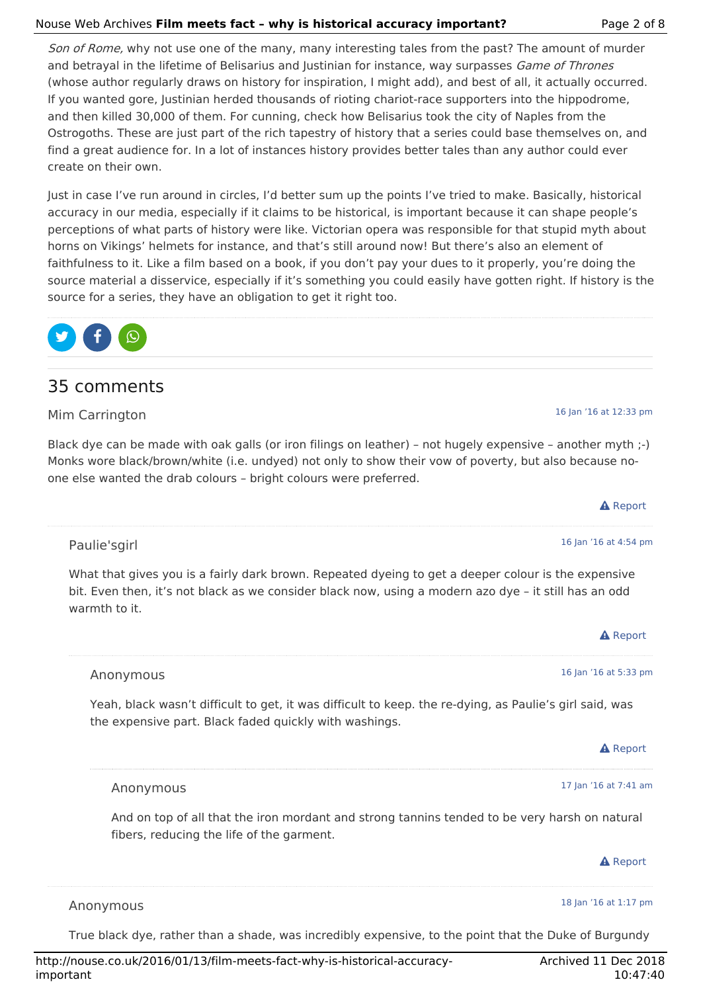#### Nouse Web Archives **Film meets fact – why is historical accuracy important?** Page 2 of 8

Son of Rome, why not use one of the many, many interesting tales from the past? The amount of murder and betrayal in the lifetime of Belisarius and Justinian for instance, way surpasses *Game of Thrones* (whose author regularly draws on history for inspiration, I might add), and best of all, it actually occurred. If you wanted gore, Justinian herded thousands of rioting chariot-race supporters into the hippodrome, and then killed 30,000 of them. For cunning, check how Belisarius took the city of Naples from the Ostrogoths. These are just part of the rich tapestry of history that a series could base themselves on, and find a great audience for. In a lot of instances history provides better tales than any author could ever create on their own.

Just in case I've run around in circles, I'd better sum up the points I've tried to make. Basically, historical accuracy in our media, especially if it claims to be historical, is important because it can shape people's perceptions of what parts of history were like. Victorian opera was responsible for that stupid myth about horns on Vikings' helmets for instance, and that's still around now! But there's also an element of faithfulness to it. Like a film based on a book, if you don't pay your dues to it properly, you're doing the source material a disservice, especially if it's something you could easily have gotten right. If history is the source for a series, they have an obligation to get it right too.



### 35 comments

Mim Carrington

warmth to it.

Black dye can be made with oak galls (or iron filings on leather) – not hugely expensive – another myth ;-) Monks wore black/brown/white (i.e. undyed) not only to show their vow of poverty, but also because noone else wanted the drab colours – bright colours were preferred.

|                                                                                                     | <b>A</b> Report       |
|-----------------------------------------------------------------------------------------------------|-----------------------|
|                                                                                                     |                       |
| Paulie'sgirl                                                                                        | 16 Jan '16 at 4:54 pm |
| What that gives you is a fairly dark brown. Repeated dyeing to get a deeper colour is the expensive |                       |

bit. Even then, it's not black as we consider black now, using a modern azo dye – it still has an odd

**A** Report 16 Jan '16 at 5:33 pm **A** Report 17 Jan '16 at 7:41 am **A** Report 18 Jan '16 at 1:17 pm Anonymous Yeah, black wasn't difficult to get, it was difficult to keep. the re-dying, as Paulie's girl said, was the expensive part. Black faded quickly with washings. Anonymous And on top of all that the iron mordant and strong tannins tended to be very harsh on natural fibers, reducing the life of the garment. Anonymous

True black dye, rather than a shade, was incredibly expensive, to the point that the Duke of Burgundy

16 Jan '16 at 12:33 pm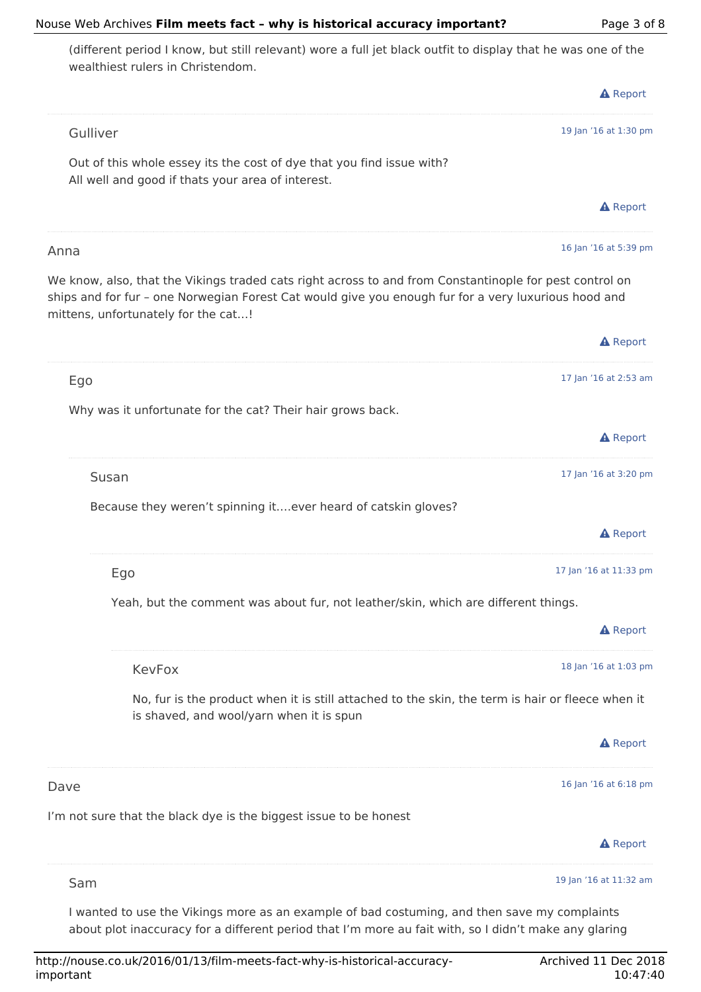#### Nouse Web Archives **Film meets fact – why is historical accuracy important?** Page 3 of 8

**A** Report 19 Jan '16 at 1:30 pm **A** Report 16 Jan '16 at 5:39 pm **A** Report 17 Jan '16 at 2:53 am **A** Report 17 Jan '16 at 3:20 pm **A** Report 17 Jan '16 at 11:33 pm **A** Report 18 Jan '16 at 1:03 pm **A** Report 16 Jan '16 at 6:18 pm **A** Report 19 Jan '16 at 11:32 am (different period I know, but still relevant) wore a full jet black outfit to display that he was one of the wealthiest rulers in Christendom. Gulliver Out of this whole essey its the cost of dye that you find issue with? All well and good if thats your area of interest. Anna We know, also, that the Vikings traded cats right across to and from Constantinople for pest control on ships and for fur – one Norwegian Forest Cat would give you enough fur for a very luxurious hood and mittens, unfortunately for the cat…! Ego Why was it unfortunate for the cat? Their hair grows back. Susan Because they weren't spinning it….ever heard of catskin gloves? Ego Yeah, but the comment was about fur, not leather/skin, which are different things. KevFox No, fur is the product when it is still attached to the skin, the term is hair or fleece when it is shaved, and wool/yarn when it is spun Dave I'm not sure that the black dye is the biggest issue to be honest Sam I wanted to use the Vikings more as an example of bad costuming, and then save my complaints

about plot inaccuracy for a different period that I'm more au fait with, so I didn't make any glaring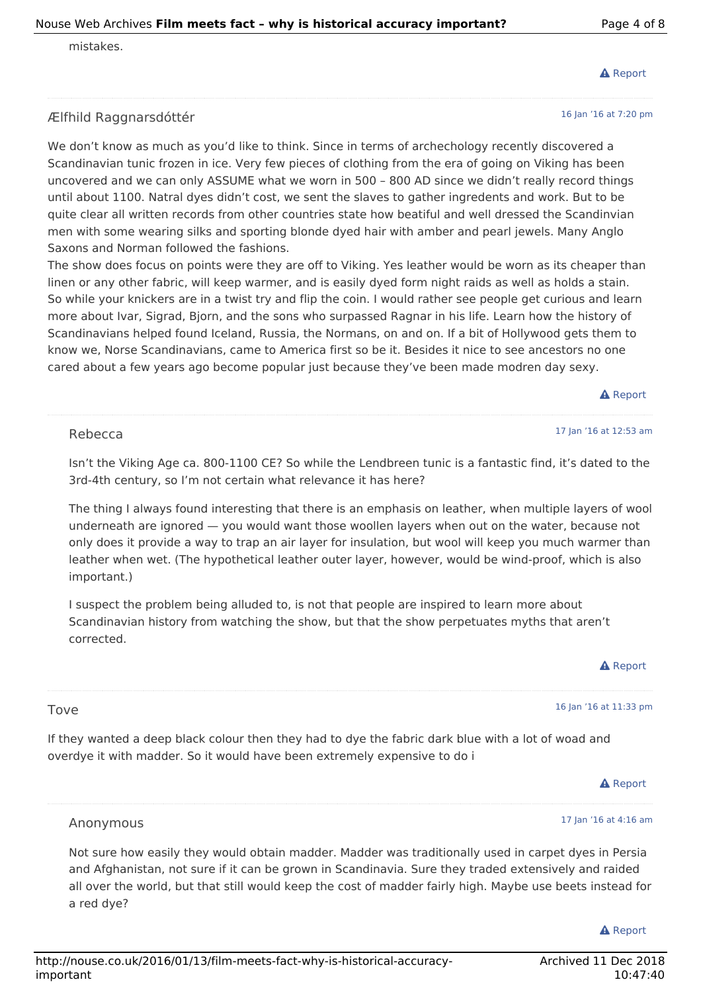#### mistakes.

#### Ælfhild Raggnarsdóttér

We don't know as much as you'd like to think. Since in terms of archechology recently discovered a Scandinavian tunic frozen in ice. Very few pieces of clothing from the era of going on Viking has been uncovered and we can only ASSUME what we worn in 500 – 800 AD since we didn't really record things until about 1100. Natral dyes didn't cost, we sent the slaves to gather ingredents and work. But to be quite clear all written records from other countries state how beatiful and well dressed the Scandinvian men with some wearing silks and sporting blonde dyed hair with amber and pearl jewels. Many Anglo Saxons and Norman followed the fashions.

The show does focus on points were they are off to Viking. Yes leather would be worn as its cheaper than linen or any other fabric, will keep warmer, and is easily dyed form night raids as well as holds a stain. So while your knickers are in a twist try and flip the coin. I would rather see people get curious and learn more about Ivar, Sigrad, Bjorn, and the sons who surpassed Ragnar in his life. Learn how the history of Scandinavians helped found Iceland, Russia, the Normans, on and on. If a bit of Hollywood gets them to know we, Norse Scandinavians, came to America first so be it. Besides it nice to see ancestors no one cared about a few years ago become popular just because they've been made modren day sexy.

**A** Report

17 Jan '16 at 12:53 am

#### Rebecca

Isn't the Viking Age ca. 800-1100 CE? So while the Lendbreen tunic is a fantastic find, it's dated to the 3rd-4th century, so I'm not certain what relevance it has here?

The thing I always found interesting that there is an emphasis on leather, when multiple layers of wool underneath are ignored — you would want those woollen layers when out on the water, because not only does it provide a way to trap an air layer for insulation, but wool will keep you much warmer than leather when wet. (The hypothetical leather outer layer, however, would be wind-proof, which is also important.)

I suspect the problem being alluded to, is not that people are inspired to learn more about Scandinavian history from watching the show, but that the show perpetuates myths that aren't corrected.

16 Jan '16 at 11:33 pm

#### Tove

If they wanted a deep black colour then they had to dye the fabric dark blue with a lot of woad and overdye it with madder. So it would have been extremely expensive to do i

**A** Report

17 Jan '16 at 4:16 am

#### Anonymous

Not sure how easily they would obtain madder. Madder was traditionally used in carpet dyes in Persia and Afghanistan, not sure if it can be grown in Scandinavia. Sure they traded extensively and raided all over the world, but that still would keep the cost of madder fairly high. Maybe use beets instead for a red dye?

#### **A** Report

### 16 Jan '16 at 7:20 pm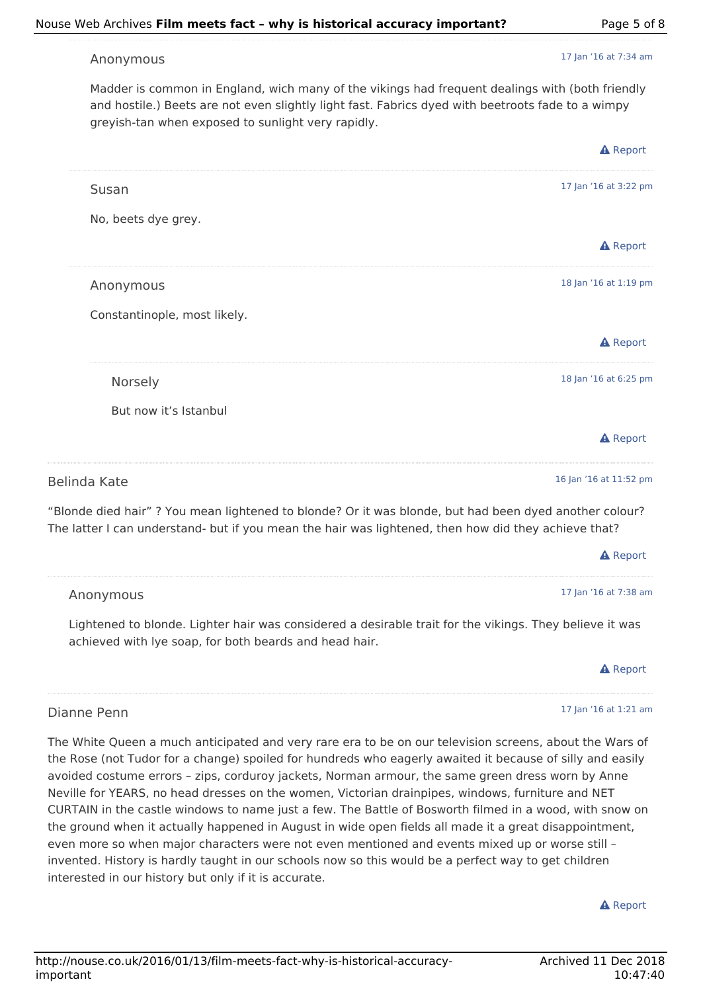17 Jan '16 at 7:34 am

#### Anonymous

Madder is common in England, wich many of the vikings had frequent dealings with (both friendly and hostile.) Beets are not even slightly light fast. Fabrics dyed with beetroots fade to a wimpy greyish-tan when exposed to sunlight very rapidly.

|                              | <b>A</b> Report        |
|------------------------------|------------------------|
| Susan                        | 17 Jan '16 at 3:22 pm  |
| No, beets dye grey.          |                        |
|                              | <b>A</b> Report        |
| Anonymous                    | 18 Jan '16 at 1:19 pm  |
| Constantinople, most likely. |                        |
|                              | <b>A</b> Report        |
| Norsely                      | 18 Jan '16 at 6:25 pm  |
| But now it's Istanbul        |                        |
|                              | <b>A</b> Report        |
| alinda Kate                  | 16 Jan '16 at 11:52 pm |

Belinda Kate

"Blonde died hair" ? You mean lightened to blonde? Or it was blonde, but had been dyed another colour? The latter I can understand- but if you mean the hair was lightened, then how did they achieve that?

|           | <b>A</b> Report       |
|-----------|-----------------------|
|           |                       |
| Anonymous | 17 Jan '16 at 7:38 am |

Lightened to blonde. Lighter hair was considered a desirable trait for the vikings. They believe it was achieved with lye soap, for both beards and head hair.

#### A Report

17 Jan '16 at 1:21 am

#### Dianne Penn

The White Queen a much anticipated and very rare era to be on our television screens, about the Wars of the Rose (not Tudor for a change) spoiled for hundreds who eagerly awaited it because of silly and easily avoided costume errors – zips, corduroy jackets, Norman armour, the same green dress worn by Anne Neville for YEARS, no head dresses on the women, Victorian drainpipes, windows, furniture and NET CURTAIN in the castle windows to name just a few. The Battle of Bosworth filmed in a wood, with snow on the ground when it actually happened in August in wide open fields all made it a great disappointment, even more so when major characters were not even mentioned and events mixed up or worse still – invented. History is hardly taught in our schools now so this would be a perfect way to get children interested in our history but only if it is accurate.

**A** Report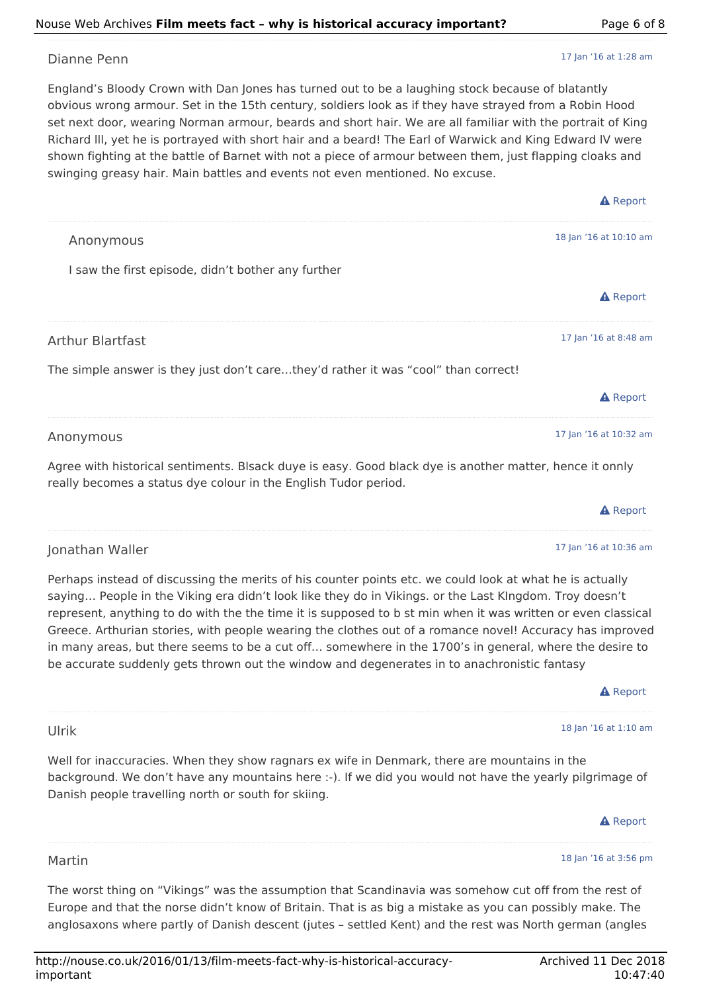### Nouse Web Archives **Film meets fact – why is historical accuracy important?** Page 6 of 8

### Dianne Penn

England's Bloody Crown with Dan Jones has turned out to be a laughing stock because of blatantly obvious wrong armour. Set in the 15th century, soldiers look as if they have strayed from a Robin Hood set next door, wearing Norman armour, beards and short hair. We are all familiar with the portrait of King Richard lll, yet he is portrayed with short hair and a beard! The Earl of Warwick and King Edward lV were shown fighting at the battle of Barnet with not a piece of armour between them, just flapping cloaks and swinging greasy hair. Main battles and events not even mentioned. No excuse.

|                                                                                    | <b>A</b> Report        |
|------------------------------------------------------------------------------------|------------------------|
| Anonymous                                                                          | 18 Jan '16 at 10:10 am |
| I saw the first episode, didn't bother any further                                 |                        |
|                                                                                    | <b>A</b> Report        |
| <b>Arthur Blartfast</b>                                                            | 17 Jan '16 at 8:48 am  |
| The simple answer is they just don't carethey'd rather it was "cool" than correct! |                        |
|                                                                                    | <b>A</b> Report        |
| Anonymous                                                                          | 17 Jan '16 at 10:32 am |

Agree with historical sentiments. Blsack duye is easy. Good black dye is another matter, hence it onnly really becomes a status dye colour in the English Tudor period.

### Jonathan Waller

Ulrik

Martin

Perhaps instead of discussing the merits of his counter points etc. we could look at what he is actually saying… People in the Viking era didn't look like they do in Vikings. or the Last KIngdom. Troy doesn't represent, anything to do with the the time it is supposed to b st min when it was written or even classical Greece. Arthurian stories, with people wearing the clothes out of a romance novel! Accuracy has improved in many areas, but there seems to be a cut off… somewhere in the 1700's in general, where the desire to be accurate suddenly gets thrown out the window and degenerates in to anachronistic fantasy

A Report

**A** Report

17 Jan '16 at 10:36 am

18 Jan '16 at 1:10 am

Well for inaccuracies. When they show ragnars ex wife in Denmark, there are mountains in the background. We don't have any mountains here :-). If we did you would not have the yearly pilgrimage of Danish people travelling north or south for skiing.

## **A** Report

#### 18 Jan '16 at 3:56 pm

The worst thing on "Vikings" was the assumption that Scandinavia was somehow cut off from the rest of Europe and that the norse didn't know of Britain. That is as big a mistake as you can possibly make. The anglosaxons where partly of Danish descent (jutes – settled Kent) and the rest was North german (angles

17 Jan '16 at 1:28 am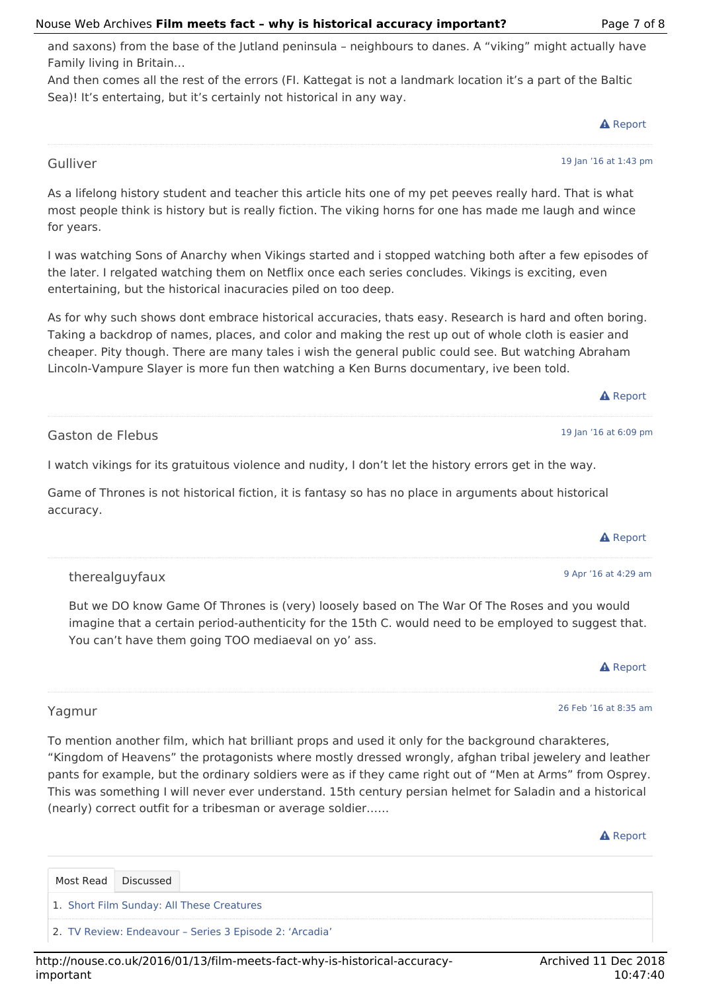#### http://nouse.co.uk/2016/01/13/film-meets-fact-why-is-historical-accuracyimportant

#### Nouse Web Archives **Film meets fact – why is historical accuracy important?** Page 7 of 8

and saxons) from the base of the Jutland peninsula – neighbours to danes. A "viking" might actually have Family living in Britain…

And then comes all the rest of the errors (FI. Kattegat is not a landmark location it's a part of the Baltic Sea)! It's entertaing, but it's certainly not historical in any way.

As a lifelong history student and teacher this article hits one of my pet peeves really hard. That is what most people think is history but is really fiction. The viking horns for one has made me laugh and wince

I was watching Sons of Anarchy when Vikings started and i stopped watching both after a few episodes of

As for why such shows dont embrace historical accuracies, thats easy. Research is hard and often boring.

the later. I relgated watching them on Netflix once each series concludes. Vikings is exciting, even

Taking a backdrop of names, places, and color and making the rest up out of whole cloth is easier and cheaper. Pity though. There are many tales i wish the general public could see. But watching Abraham Lincoln-Vampure Slayer is more fun then watching a Ken Burns documentary, ive been told.

entertaining, but the historical inacuracies piled on too deep.

Gaston de Flebus

Gulliver

for years.

I watch vikings for its gratuitous violence and nudity, I don't let the history errors get in the way.

Game of Thrones is not historical fiction, it is fantasy so has no place in arguments about historical accuracy.

therealguyfaux

Discussed

1. Short Film Sunday: All These Creatures

2. TV Review: Endeavour – Series 3 Episode 2: 'Arcadia'

But we DO know Game Of Thrones is (very) loosely based on The War Of The Roses and you would imagine that a certain period-authenticity for the 15th C. would need to be employed to suggest that. You can't have them going TOO mediaeval on yo' ass.

#### Yagmur

Most Read

To mention another film, which hat brilliant props and used it only for the background charakteres, "Kingdom of Heavens" the protagonists where mostly dressed wrongly, afghan tribal jewelery and leather pants for example, but the ordinary soldiers were as if they came right out of "Men at Arms" from Osprey. This was something I will never ever understand. 15th century persian helmet for Saladin and a historical (nearly) correct outfit for a tribesman or average soldier……

#### **A** Report

**A** Report

26 Feb '16 at 8:35 am

Archived 11 Dec 2018 10:47:40





19 Jan '16 at 1:43 pm

**A** Report

19 Jan '16 at 6:09 pm